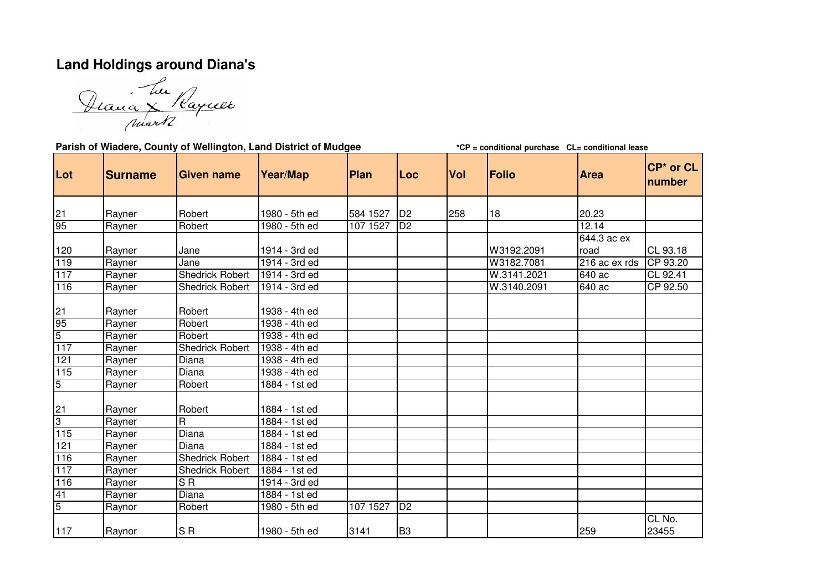## **Land Holdings around Diana's**

| Parish of Wiadere, County of Wellington, Land District of Mudgee |                |                        |                            |          |                | *CP = conditional purchase CL= conditional lease |              |                      |                                 |  |
|------------------------------------------------------------------|----------------|------------------------|----------------------------|----------|----------------|--------------------------------------------------|--------------|----------------------|---------------------------------|--|
| Lot                                                              | <b>Surname</b> | <b>Given name</b>      | Year/Map                   | Plan     | Loc            | Vol                                              | <b>Folio</b> | <b>Area</b>          | CP <sup>*</sup> or CL<br>number |  |
| 21                                                               | Rayner         | Robert                 | 1980 - 5th ed              | 584 1527 | D <sub>2</sub> | 258                                              | 18           | 20.23                |                                 |  |
| 95                                                               | Rayner         | Robert                 | 1980 - 5th ed              | 107 1527 | D <sub>2</sub> |                                                  |              | 12.14                |                                 |  |
|                                                                  |                |                        |                            |          |                |                                                  |              | 644.3 ac ex          |                                 |  |
| 120                                                              | Rayner         | Jane                   | 1914 - 3rd ed              |          |                |                                                  | W3192.2091   | road                 | CL 93.18                        |  |
| 119                                                              | Rayner         | Jane                   | 1914 - 3rd ed              |          |                |                                                  | W3182.7081   | 216 ac ex rds        | CP 93.20                        |  |
| 117                                                              | Rayner         | <b>Shedrick Robert</b> | 1914 - 3rd ed              |          |                |                                                  | W.3141.2021  | $\overline{6}$ 40 ac | CL 92.41                        |  |
| 116                                                              | Rayner         | <b>Shedrick Robert</b> | 1914 - 3rd ed              |          |                |                                                  | W.3140.2091  | 640 ac               | CP 92.50                        |  |
| 21                                                               | Rayner         | Robert                 | 1938 - 4th ed              |          |                |                                                  |              |                      |                                 |  |
| 95                                                               | Rayner         | Robert                 | $1938 - 4th$ ed            |          |                |                                                  |              |                      |                                 |  |
| $\overline{5}$                                                   | Rayner         | Robert                 | 1938 - 4th ed              |          |                |                                                  |              |                      |                                 |  |
| 117                                                              | Rayner         | <b>Shedrick Robert</b> | 1938 - 4th ed              |          |                |                                                  |              |                      |                                 |  |
| 121                                                              | Rayner         | Diana                  | $1938 - 4th$ ed            |          |                |                                                  |              |                      |                                 |  |
| 115                                                              | Rayner         | Diana                  | 1938 - 4th ed              |          |                |                                                  |              |                      |                                 |  |
| $\overline{5}$                                                   | Rayner         | Robert                 | 1884 - 1st ed              |          |                |                                                  |              |                      |                                 |  |
| 21                                                               | Rayner         | Robert                 | 1884 - 1st ed              |          |                |                                                  |              |                      |                                 |  |
| $\overline{3}$                                                   | Rayner         | $\mathsf{R}$           | $1884 - 1st$ ed            |          |                |                                                  |              |                      |                                 |  |
| 115                                                              | Rayner         | Diana                  | 1884 - 1st ed              |          |                |                                                  |              |                      |                                 |  |
| 121                                                              | Rayner         | <b>Diana</b>           | $1884 - 1st$ ed            |          |                |                                                  |              |                      |                                 |  |
| 116                                                              | Rayner         | <b>Shedrick Robert</b> | $1884 - 1st$ ed            |          |                |                                                  |              |                      |                                 |  |
| 117                                                              | Rayner         | <b>Shedrick Robert</b> | $\overline{1884}$ - 1st ed |          |                |                                                  |              |                      |                                 |  |
| 116                                                              | Rayner         | $S$ R                  | 1914 - 3rd ed              |          |                |                                                  |              |                      |                                 |  |
| 41                                                               | Rayner         | Diana                  | 1884 - 1st ed              |          |                |                                                  |              |                      |                                 |  |
| $\overline{5}$                                                   | Raynor         | Robert                 | 1980 - 5th ed              | 107 1527 | D2             |                                                  |              |                      |                                 |  |
| 117                                                              | Raynor         | S <sub>R</sub>         | 1980 - 5th ed              | 3141     | B <sub>3</sub> |                                                  |              | 259                  | CL No.<br>23455                 |  |